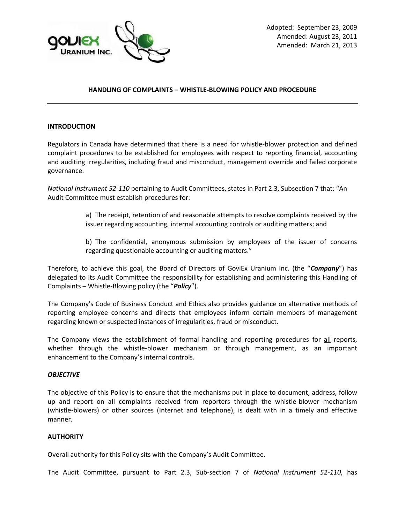

### **HANDLING OF COMPLAINTS – WHISTLE-BLOWING POLICY AND PROCEDURE**

### **INTRODUCTION**

Regulators in Canada have determined that there is a need for whistle-blower protection and defined complaint procedures to be established for employees with respect to reporting financial, accounting and auditing irregularities, including fraud and misconduct, management override and failed corporate governance.

*National Instrument 52-110* pertaining to Audit Committees, states in Part 2.3, Subsection 7 that: "An Audit Committee must establish procedures for:

> a) The receipt, retention of and reasonable attempts to resolve complaints received by the issuer regarding accounting, internal accounting controls or auditing matters; and

> b) The confidential, anonymous submission by employees of the issuer of concerns regarding questionable accounting or auditing matters."

Therefore, to achieve this goal, the Board of Directors of GoviEx Uranium Inc. (the "*Company*") has delegated to its Audit Committee the responsibility for establishing and administering this Handling of Complaints – Whistle-Blowing policy (the "*Policy*").

The Company's Code of Business Conduct and Ethics also provides guidance on alternative methods of reporting employee concerns and directs that employees inform certain members of management regarding known or suspected instances of irregularities, fraud or misconduct.

The Company views the establishment of formal handling and reporting procedures for all reports, whether through the whistle-blower mechanism or through management, as an important enhancement to the Company's internal controls.

#### *OBJECTIVE*

The objective of this Policy is to ensure that the mechanisms put in place to document, address, follow up and report on all complaints received from reporters through the whistle-blower mechanism (whistle-blowers) or other sources (Internet and telephone), is dealt with in a timely and effective manner.

#### **AUTHORITY**

Overall authority for this Policy sits with the Company's Audit Committee.

The Audit Committee, pursuant to Part 2.3, Sub-section 7 of *National Instrument 52-110*, has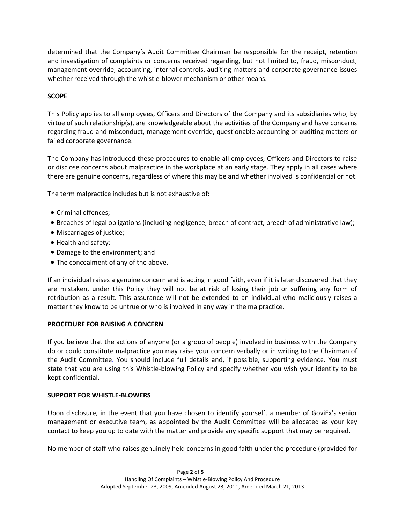determined that the Company's Audit Committee Chairman be responsible for the receipt, retention and investigation of complaints or concerns received regarding, but not limited to, fraud, misconduct, management override, accounting, internal controls, auditing matters and corporate governance issues whether received through the whistle-blower mechanism or other means.

# **SCOPE**

This Policy applies to all employees, Officers and Directors of the Company and its subsidiaries who, by virtue of such relationship(s), are knowledgeable about the activities of the Company and have concerns regarding fraud and misconduct, management override, questionable accounting or auditing matters or failed corporate governance.

The Company has introduced these procedures to enable all employees, Officers and Directors to raise or disclose concerns about malpractice in the workplace at an early stage. They apply in all cases where there are genuine concerns, regardless of where this may be and whether involved is confidential or not.

The term malpractice includes but is not exhaustive of:

- Criminal offences:
- Breaches of legal obligations (including negligence, breach of contract, breach of administrative law);
- Miscarriages of justice;
- Health and safety;
- Damage to the environment; and
- The concealment of any of the above.

If an individual raises a genuine concern and is acting in good faith, even if it is later discovered that they are mistaken, under this Policy they will not be at risk of losing their job or suffering any form of retribution as a result. This assurance will not be extended to an individual who maliciously raises a matter they know to be untrue or who is involved in any way in the malpractice.

## **PROCEDURE FOR RAISING A CONCERN**

If you believe that the actions of anyone (or a group of people) involved in business with the Company do or could constitute malpractice you may raise your concern verbally or in writing to the Chairman of the Audit Committee. You should include full details and, if possible, supporting evidence. You must state that you are using this Whistle-blowing Policy and specify whether you wish your identity to be kept confidential.

### **SUPPORT FOR WHISTLE-BLOWERS**

Upon disclosure, in the event that you have chosen to identify yourself, a member of GoviEx's senior management or executive team, as appointed by the Audit Committee will be allocated as your key contact to keep you up to date with the matter and provide any specific support that may be required.

No member of staff who raises genuinely held concerns in good faith under the procedure (provided for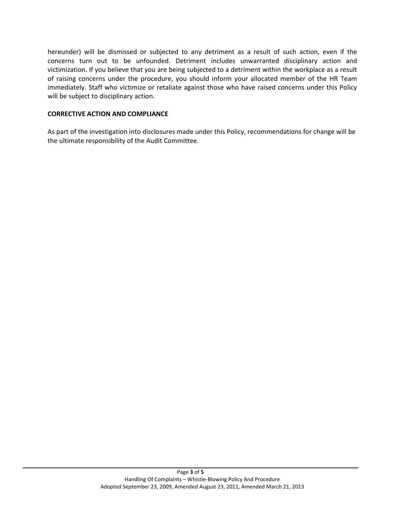hereunder) will be dismissed or subjected to any detriment as a result of such action, even if the concerns turn out to be unfounded. Detriment includes unwarranted disciplinary action and victimization. If you believe that you are being subjected to a detriment within the workplace as a result of raising concerns under the procedure, you should inform your allocated member of the HR Team immediately. Staff who victimize or retaliate against those who have raised concerns under this Policy will be subject to disciplinary action.

### **CORRECTIVE ACTION AND COMPLIANCE**

As part of the investigation into disclosures made under this Policy, recommendations for change will be the ultimate responsibility of the Audit Committee.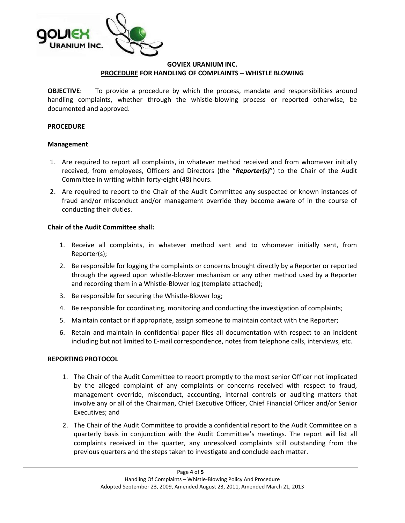

## **GOVIEX URANIUM INC. PROCEDURE FOR HANDLING OF COMPLAINTS – WHISTLE BLOWING**

**OBJECTIVE:** To provide a procedure by which the process, mandate and responsibilities around handling complaints, whether through the whistle-blowing process or reported otherwise, be documented and approved.

### **PROCEDURE**

#### **Management**

- 1. Are required to report all complaints, in whatever method received and from whomever initially received, from employees, Officers and Directors (the "*Reporter(s)*") to the Chair of the Audit Committee in writing within forty-eight (48) hours.
- 2. Are required to report to the Chair of the Audit Committee any suspected or known instances of fraud and/or misconduct and/or management override they become aware of in the course of conducting their duties.

### **Chair of the Audit Committee shall:**

- 1. Receive all complaints, in whatever method sent and to whomever initially sent, from Reporter(s);
- 2. Be responsible for logging the complaints or concerns brought directly by a Reporter or reported through the agreed upon whistle-blower mechanism or any other method used by a Reporter and recording them in a Whistle-Blower log (template attached);
- 3. Be responsible for securing the Whistle-Blower log;
- 4. Be responsible for coordinating, monitoring and conducting the investigation of complaints;
- 5. Maintain contact or if appropriate, assign someone to maintain contact with the Reporter;
- 6. Retain and maintain in confidential paper files all documentation with respect to an incident including but not limited to E-mail correspondence, notes from telephone calls, interviews, etc.

### **REPORTING PROTOCOL**

- 1. The Chair of the Audit Committee to report promptly to the most senior Officer not implicated by the alleged complaint of any complaints or concerns received with respect to fraud, management override, misconduct, accounting, internal controls or auditing matters that involve any or all of the Chairman, Chief Executive Officer, Chief Financial Officer and/or Senior Executives; and
- 2. The Chair of the Audit Committee to provide a confidential report to the Audit Committee on a quarterly basis in conjunction with the Audit Committee's meetings. The report will list all complaints received in the quarter, any unresolved complaints still outstanding from the previous quarters and the steps taken to investigate and conclude each matter.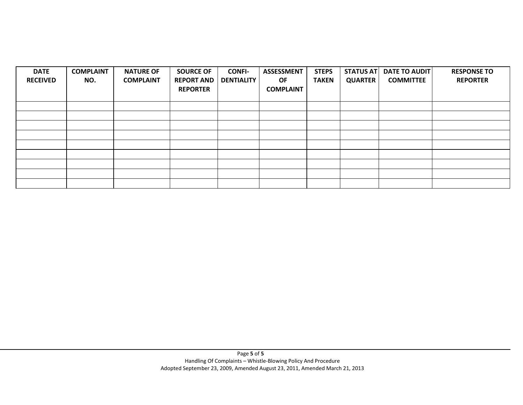| <b>DATE</b><br><b>RECEIVED</b> | <b>COMPLAINT</b><br>NO. | <b>NATURE OF</b><br><b>COMPLAINT</b> | <b>SOURCE OF</b><br><b>REPORT AND</b><br><b>REPORTER</b> | <b>CONFI-</b><br><b>DENTIALITY</b> | <b>ASSESSMENT</b><br>OF.<br><b>COMPLAINT</b> | <b>STEPS</b><br><b>TAKEN</b> | <b>STATUS AT</b><br><b>QUARTER</b> | DATE TO AUDIT<br><b>COMMITTEE</b> | <b>RESPONSE TO</b><br><b>REPORTER</b> |
|--------------------------------|-------------------------|--------------------------------------|----------------------------------------------------------|------------------------------------|----------------------------------------------|------------------------------|------------------------------------|-----------------------------------|---------------------------------------|
|                                |                         |                                      |                                                          |                                    |                                              |                              |                                    |                                   |                                       |
|                                |                         |                                      |                                                          |                                    |                                              |                              |                                    |                                   |                                       |
|                                |                         |                                      |                                                          |                                    |                                              |                              |                                    |                                   |                                       |
|                                |                         |                                      |                                                          |                                    |                                              |                              |                                    |                                   |                                       |
|                                |                         |                                      |                                                          |                                    |                                              |                              |                                    |                                   |                                       |
|                                |                         |                                      |                                                          |                                    |                                              |                              |                                    |                                   |                                       |
|                                |                         |                                      |                                                          |                                    |                                              |                              |                                    |                                   |                                       |
|                                |                         |                                      |                                                          |                                    |                                              |                              |                                    |                                   |                                       |
|                                |                         |                                      |                                                          |                                    |                                              |                              |                                    |                                   |                                       |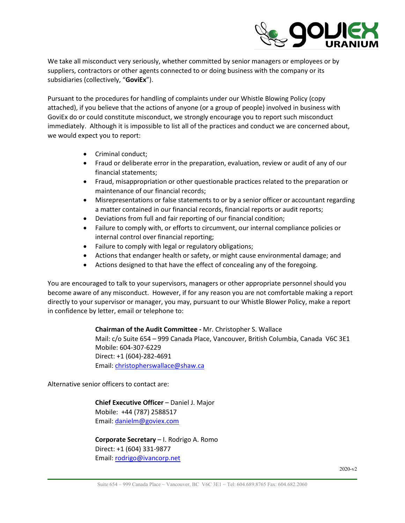

We take all misconduct very seriously, whether committed by senior managers or employees or by suppliers, contractors or other agents connected to or doing business with the company or its subsidiaries (collectively, "**GoviEx**").

Pursuant to the procedures for handling of complaints under our Whistle Blowing Policy (copy attached), if you believe that the actions of anyone (or a group of people) involved in business with GoviEx do or could constitute misconduct, we strongly encourage you to report such misconduct immediately. Although it is impossible to list all of the practices and conduct we are concerned about, we would expect you to report:

- Criminal conduct;
- Fraud or deliberate error in the preparation, evaluation, review or audit of any of our financial statements;
- Fraud, misappropriation or other questionable practices related to the preparation or maintenance of our financial records;
- Misrepresentations or false statements to or by a senior officer or accountant regarding a matter contained in our financial records, financial reports or audit reports;
- Deviations from full and fair reporting of our financial condition;
- Failure to comply with, or efforts to circumvent, our internal compliance policies or internal control over financial reporting;
- Failure to comply with legal or regulatory obligations;
- Actions that endanger health or safety, or might cause environmental damage; and
- Actions designed to that have the effect of concealing any of the foregoing.

You are encouraged to talk to your supervisors, managers or other appropriate personnel should you become aware of any misconduct. However, if for any reason you are not comfortable making a report directly to your supervisor or manager, you may, pursuant to our Whistle Blower Policy, make a report in confidence by letter, email or telephone to:

### **Chairman of the Audit Committee -** Mr. Christopher S. Wallace

Mail: c/o Suite 654 – 999 Canada Place, Vancouver, British Columbia, Canada V6C 3E1 Mobile: 604-307-6229 Direct: +1 (604)-282-4691 Email: christopherswallace@shaw.ca

Alternative senior officers to contact are:

**Chief Executive Officer** – Daniel J. Major Mobile: +44 (787) 2588517 Email: danielm@goviex.com

### **Corporate Secretary** – I. Rodrigo A. Romo Direct: +1 (604) 331-9877 Email: rodrigo@ivancorp.net

2020-v2